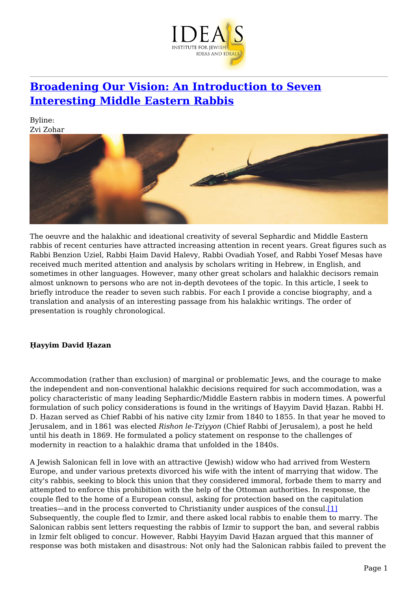

# **[Broadening Our Vision: An Introduction to Seven](https://www.jewishideas.org/article/broadening-our-vision-introduction-seven-interesting-middle-eastern-rabbis) [Interesting Middle Eastern Rabbis](https://www.jewishideas.org/article/broadening-our-vision-introduction-seven-interesting-middle-eastern-rabbis)**

Byline: Zvi Zohar



The oeuvre and the halakhic and ideational creativity of several Sephardic and Middle Eastern rabbis of recent centuries have attracted increasing attention in recent years. Great figures such as Rabbi Benzion Uziel, Rabbi Ḥaim David Halevy, Rabbi Ovadiah Yosef, and Rabbi Yosef Mesas have received much merited attention and analysis by scholars writing in Hebrew, in English, and sometimes in other languages. However, many other great scholars and halakhic decisors remain almost unknown to persons who are not in-depth devotees of the topic. In this article, I seek to briefly introduce the reader to seven such rabbis. For each I provide a concise biography, and a translation and analysis of an interesting passage from his halakhic writings. The order of presentation is roughly chronological.

### **Ḥayyim David Ḥazan**

Accommodation (rather than exclusion) of marginal or problematic Jews, and the courage to make the independent and non-conventional halakhic decisions required for such accommodation, was a policy characteristic of many leading Sephardic/Middle Eastern rabbis in modern times. A powerful formulation of such policy considerations is found in the writings of Ḥayyim David Ḥazan. Rabbi H. D. Ḥazan served as Chief Rabbi of his native city Izmir from 1840 to 1855. In that year he moved to Jerusalem, and in 1861 was elected *Rishon le-Tziyyon* (Chief Rabbi of Jerusalem), a post he held until his death in 1869. He formulated a policy statement on response to the challenges of modernity in reaction to a halakhic drama that unfolded in the 1840s.

<span id="page-0-0"></span>A Jewish Salonican fell in love with an attractive (Jewish) widow who had arrived from Western Europe, and under various pretexts divorced his wife with the intent of marrying that widow. The city's rabbis, seeking to block this union that they considered immoral, forbade them to marry and attempted to enforce this prohibition with the help of the Ottoman authorities. In response, the couple fled to the home of a European consul, asking for protection based on the capitulation treaties—and in the process converted to Christianity under auspices of the consul.[\[1\]](#page-12-0) Subsequently, the couple fled to Izmir, and there asked local rabbis to enable them to marry. The Salonican rabbis sent letters requesting the rabbis of Izmir to support the ban, and several rabbis in Izmir felt obliged to concur. However, Rabbi Ḥayyim David Ḥazan argued that this manner of response was both mistaken and disastrous: Not only had the Salonican rabbis failed to prevent the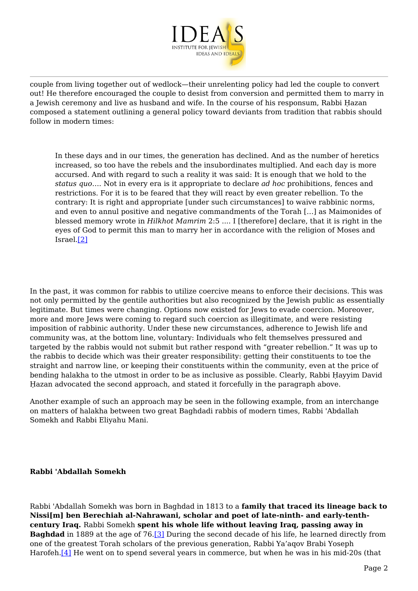

couple from living together out of wedlock—their unrelenting policy had led the couple to convert out! He therefore encouraged the couple to desist from conversion and permitted them to marry in a Jewish ceremony and live as husband and wife. In the course of his responsum, Rabbi Ḥazan composed a statement outlining a general policy toward deviants from tradition that rabbis should follow in modern times:

In these days and in our times, the generation has declined. And as the number of heretics increased, so too have the rebels and the insubordinates multiplied. And each day is more accursed. And with regard to such a reality it was said: It is enough that we hold to the *status quo*…. Not in every era is it appropriate to declare *ad hoc* prohibitions, fences and restrictions. For it is to be feared that they will react by even greater rebellion. To the contrary: It is right and appropriate [under such circumstances] to waive rabbinic norms, and even to annul positive and negative commandments of the Torah […] as Maimonides of blessed memory wrote in *Hilkhot Mamrim* 2:5 .... I [therefore] declare, that it is right in the eyes of God to permit this man to marry her in accordance with the religion of Moses and Israel.[\[2\]](#page-12-1)

<span id="page-1-0"></span>In the past, it was common for rabbis to utilize coercive means to enforce their decisions. This was not only permitted by the gentile authorities but also recognized by the Jewish public as essentially legitimate. But times were changing. Options now existed for Jews to evade coercion. Moreover, more and more Jews were coming to regard such coercion as illegitimate, and were resisting imposition of rabbinic authority. Under these new circumstances, adherence to Jewish life and community was, at the bottom line, voluntary: Individuals who felt themselves pressured and targeted by the rabbis would not submit but rather respond with "greater rebellion." It was up to the rabbis to decide which was their greater responsibility: getting their constituents to toe the straight and narrow line, or keeping their constituents within the community, even at the price of bending halakha to the utmost in order to be as inclusive as possible. Clearly, Rabbi Ḥayyim David Ḥazan advocated the second approach, and stated it forcefully in the paragraph above.

Another example of such an approach may be seen in the following example, from an interchange on matters of halakha between two great Baghdadi rabbis of modern times, Rabbi 'Abdallah Somekh and Rabbi Eliyahu Mani.

#### **Rabbi 'Abdallah Somekh**

<span id="page-1-2"></span><span id="page-1-1"></span>Rabbi 'Abdallah Somekh was born in Baghdad in 1813 to a **family that traced its lineage back to Nissi[m] ben Berechiah al-Nahrawani, scholar and poet of late-ninth- and early-tenthcentury Iraq.** Rabbi Somekh **spent his whole life without leaving Iraq, passing away in Baghdad** in 1889 at the age of 76.[\[3\]](#page-12-2) During the second decade of his life, he learned directly from one of the greatest Torah scholars of the previous generation, Rabbi Ya'aqov Brabi Yoseph Harofeh.<sup>[4]</sup> He went on to spend several years in commerce, but when he was in his mid-20s (that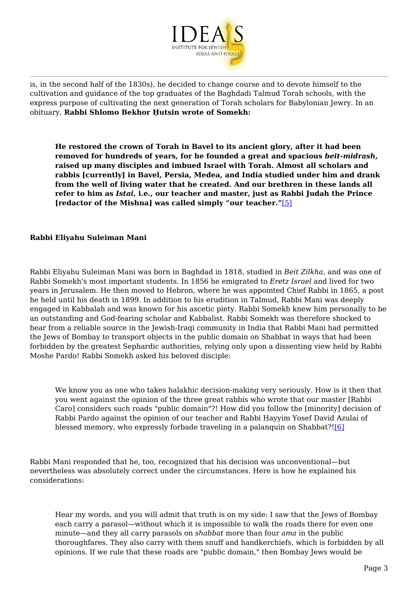

is, in the second half of the 1830s), he decided to change course and to devote himself to the cultivation and guidance of the top graduates of the Baghdadi Talmud Torah schools, with the express purpose of cultivating the next generation of Torah scholars for Babylonian Jewry. In an obituary, **Rabbi Shlomo Bekhor Ḥutsin wrote of Somekh:**

**He restored the crown of Torah in Bavel to its ancient glory, after it had been removed for hundreds of years, for he founded a great and spacious** *beit-midrash***, raised up many disciples and imbued Israel with Torah. Almost all scholars and rabbis [currently] in Bavel, Persia, Medea, and India studied under him and drank from the well of living water that he created. And our brethren in these lands all refer to him as** *Istai***, i.e., our teacher and master, just as Rabbi Judah the Prince [redactor of the Mishna] was called simply "our teacher."**[\[5\]](#page-12-4)

#### <span id="page-2-0"></span>**Rabbi Eliyahu Suleiman Mani**

Rabbi Eliyahu Suleiman Mani was born in Baghdad in 1818, studied in *Beit Zilkha*, and was one of Rabbi Somekh's most important students. In 1856 he emigrated to *Eretz Israel* and lived for two years in Jerusalem. He then moved to Hebron, where he was appointed Chief Rabbi in 1865, a post he held until his death in 1899. In addition to his erudition in Talmud, Rabbi Mani was deeply engaged in Kabbalah and was known for his ascetic piety. Rabbi Somekh knew him personally to be an outstanding and God-fearing scholar and Kabbalist. Rabbi Somekh was therefore shocked to hear from a reliable source in the Jewish-Iraqi community in India that Rabbi Mani had permitted the Jews of Bombay to transport objects in the public domain on Shabbat in ways that had been forbidden by the greatest Sephardic authorities, relying only upon a dissenting view held by Rabbi Moshe Pardo! Rabbi Somekh asked his beloved disciple:

We know you as one who takes halakhic decision-making very seriously. How is it then that you went against the opinion of the three great rabbis who wrote that our master [Rabbi Caro] considers such roads "public domain"?! How did you follow the [minority] decision of Rabbi Pardo against the opinion of our teacher and Rabbi Ḥayyim Yosef David Azulai of blessed memory, who expressly forbade traveling in a palanquin on Shabbat?[!\[6\]](#page-12-5)

<span id="page-2-1"></span>Rabbi Mani responded that he, too, recognized that his decision was unconventional—but nevertheless was absolutely correct under the circumstances. Here is how he explained his considerations:

Hear my words, and you will admit that truth is on my side: I saw that the Jews of Bombay each carry a parasol—without which it is impossible to walk the roads there for even one minute—and they all carry parasols on *shabbat* more than four *ama* in the public thoroughfares. They also carry with them snuff and handkerchiefs, which is forbidden by all opinions. If we rule that these roads are "public domain," then Bombay Jews would be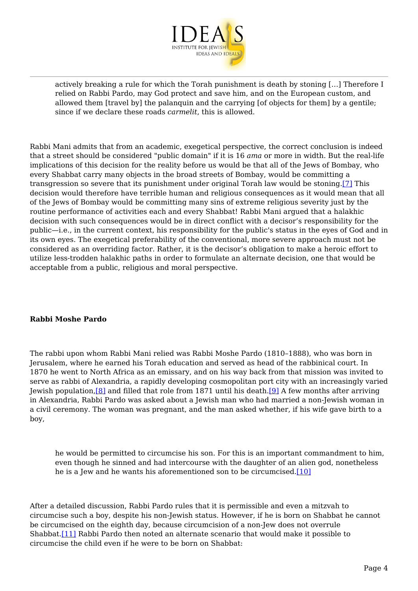

actively breaking a rule for which the Torah punishment is death by stoning […] Therefore I relied on Rabbi Pardo, may God protect and save him, and on the European custom, and allowed them [travel by] the palanquin and the carrying [of objects for them] by a gentile; since if we declare these roads *carmelit*, this is allowed.

<span id="page-3-0"></span>Rabbi Mani admits that from an academic, exegetical perspective, the correct conclusion is indeed that a street should be considered "public domain" if it is 16 *ama* or more in width. But the real-life implications of this decision for the reality before us would be that all of the Jews of Bombay, who every Shabbat carry many objects in the broad streets of Bombay, would be committing a transgression so severe that its punishment under original Torah law would be stoning.[\[7\]](#page-12-6) This decision would therefore have terrible human and religious consequences as it would mean that all of the Jews of Bombay would be committing many sins of extreme religious severity just by the routine performance of activities each and every Shabbat! Rabbi Mani argued that a halakhic decision with such consequences would be in direct conflict with a decisor's responsibility for the public—i.e., in the current context, his responsibility for the public's status in the eyes of God and in its own eyes. The exegetical preferability of the conventional, more severe approach must not be considered as an overriding factor. Rather, it is the decisor's obligation to make a heroic effort to utilize less-trodden halakhic paths in order to formulate an alternate decision, one that would be acceptable from a public, religious and moral perspective.

### **Rabbi Moshe Pardo**

<span id="page-3-1"></span>The rabbi upon whom Rabbi Mani relied was Rabbi Moshe Pardo (1810–1888), who was born in Jerusalem, where he earned his Torah education and served as head of the rabbinical court. In 1870 he went to North Africa as an emissary, and on his way back from that mission was invited to serve as rabbi of Alexandria, a rapidly developing cosmopolitan port city with an increasingly varied Jewish population[,\[8\]](#page-12-7) and filled that role from 1871 until his death[.\[9\]](#page-13-0) A few months after arriving in Alexandria, Rabbi Pardo was asked about a Jewish man who had married a non-Jewish woman in a civil ceremony. The woman was pregnant, and the man asked whether, if his wife gave birth to a boy,

he would be permitted to circumcise his son. For this is an important commandment to him, even though he sinned and had intercourse with the daughter of an alien god, nonetheless he is a Jew and he wants his aforementioned son to be circumcised.[\[10\]](#page-13-1)

<span id="page-3-3"></span><span id="page-3-2"></span>After a detailed discussion, Rabbi Pardo rules that it is permissible and even a mitzvah to circumcise such a boy, despite his non-Jewish status. However, if he is born on Shabbat he cannot be circumcised on the eighth day, because circumcision of a non-Jew does not overrule Shabbat.[\[11\]](#page-13-2) Rabbi Pardo then noted an alternate scenario that would make it possible to circumcise the child even if he were to be born on Shabbat: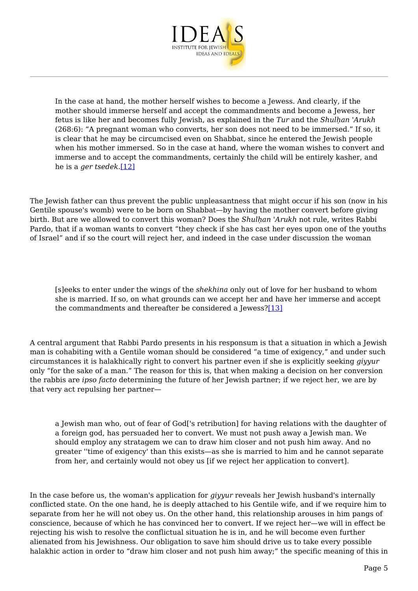

In the case at hand, the mother herself wishes to become a Jewess. And clearly, if the mother should immerse herself and accept the commandments and become a Jewess, her fetus is like her and becomes fully Jewish, as explained in the *Tur* and the *Shulḥan 'Arukh* (268:6): "A pregnant woman who converts, her son does not need to be immersed." If so, it is clear that he may be circumcised even on Shabbat, since he entered the Jewish people when his mother immersed. So in the case at hand, where the woman wishes to convert and immerse and to accept the commandments, certainly the child will be entirely kasher, and he is a *ger tsedek*.[\[12\]](#page-13-3)

<span id="page-4-0"></span>The Jewish father can thus prevent the public unpleasantness that might occur if his son (now in his Gentile spouse's womb) were to be born on Shabbat—by having the mother convert before giving birth. But are we allowed to convert this woman? Does the *Shulḥan 'Arukh* not rule, writes Rabbi Pardo, that if a woman wants to convert "they check if she has cast her eyes upon one of the youths of Israel" and if so the court will reject her, and indeed in the case under discussion the woman

[s]eeks to enter under the wings of the *shekhina* only out of love for her husband to whom she is married. If so, on what grounds can we accept her and have her immerse and accept the commandments and thereafter be considered a Jewess?[\[13\]](#page-13-4)

<span id="page-4-1"></span>A central argument that Rabbi Pardo presents in his responsum is that a situation in which a Jewish man is cohabiting with a Gentile woman should be considered "a time of exigency," and under such circumstances it is halakhically right to convert his partner even if she is explicitly seeking *giyyur* only "for the sake of a man." The reason for this is, that when making a decision on her conversion the rabbis are *ipso facto* determining the future of her Jewish partner; if we reject her, we are by that very act repulsing her partner—

a Jewish man who, out of fear of God['s retribution] for having relations with the daughter of a foreign god, has persuaded her to convert. We must not push away a Jewish man. We should employ any stratagem we can to draw him closer and not push him away. And no greater ''time of exigency' than this exists—as she is married to him and he cannot separate from her, and certainly would not obey us [if we reject her application to convert].

In the case before us, the woman's application for *giyyur* reveals her Jewish husband's internally conflicted state. On the one hand, he is deeply attached to his Gentile wife, and if we require him to separate from her he will not obey us. On the other hand, this relationship arouses in him pangs of conscience, because of which he has convinced her to convert. If we reject her—we will in effect be rejecting his wish to resolve the conflictual situation he is in, and he will become even further alienated from his Jewishness. Our obligation to save him should drive us to take every possible halakhic action in order to "draw him closer and not push him away;" the specific meaning of this in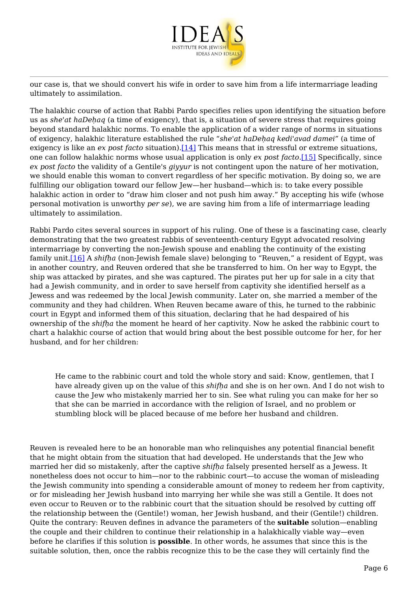

our case is, that we should convert his wife in order to save him from a life intermarriage leading ultimately to assimilation.

<span id="page-5-1"></span><span id="page-5-0"></span>The halakhic course of action that Rabbi Pardo specifies relies upon identifying the situation before us as *she'at haDeḥaq* (a time of exigency), that is, a situation of severe stress that requires going beyond standard halakhic norms. To enable the application of a wider range of norms in situations of exigency, halakhic literature established the rule "*she'at haDeḥaq kedi'avad damei"* (a time of exigency is like an *ex post facto* situation).<sup>[\[14\]](#page-13-5)</sup> This means that in stressful or extreme situations, one can follow halakhic norms whose usual application is only *ex post facto.*[\[15\]](#page-13-6) Specifically, since *ex post facto* the validity of a Gentile's *giyyur* is not contingent upon the nature of her motivation, we should enable this woman to convert regardless of her specific motivation. By doing so, we are fulfilling our obligation toward our fellow Jew—her husband—which is: to take every possible halakhic action in order to "draw him closer and not push him away." By accepting his wife (whose personal motivation is unworthy *per se*), we are saving him from a life of intermarriage leading ultimately to assimilation.

<span id="page-5-2"></span>Rabbi Pardo cites several sources in support of his ruling. One of these is a fascinating case, clearly demonstrating that the two greatest rabbis of seventeenth-century Egypt advocated resolving intermarriage by converting the non-Jewish spouse and enabling the continuity of the existing family unit[.\[16\]](#page-13-7) A *shifḥa* (non-Jewish female slave) belonging to "Reuven," a resident of Egypt, was in another country, and Reuven ordered that she be transferred to him. On her way to Egypt, the ship was attacked by pirates, and she was captured. The pirates put her up for sale in a city that had a Jewish community, and in order to save herself from captivity she identified herself as a Jewess and was redeemed by the local Jewish community. Later on, she married a member of the community and they had children. When Reuven became aware of this, he turned to the rabbinic court in Egypt and informed them of this situation, declaring that he had despaired of his ownership of the *shifḥa* the moment he heard of her captivity. Now he asked the rabbinic court to chart a halakhic course of action that would bring about the best possible outcome for her, for her husband, and for her children:

He came to the rabbinic court and told the whole story and said: Know, gentlemen, that I have already given up on the value of this *shifḥa* and she is on her own. And I do not wish to cause the Jew who mistakenly married her to sin. See what ruling you can make for her so that she can be married in accordance with the religion of Israel, and no problem or stumbling block will be placed because of me before her husband and children.

Reuven is revealed here to be an honorable man who relinquishes any potential financial benefit that he might obtain from the situation that had developed. He understands that the Jew who married her did so mistakenly, after the captive *shifḥa* falsely presented herself as a Jewess. It nonetheless does not occur to him—nor to the rabbinic court—to accuse the woman of misleading the Jewish community into spending a considerable amount of money to redeem her from captivity, or for misleading her Jewish husband into marrying her while she was still a Gentile. It does not even occur to Reuven or to the rabbinic court that the situation should be resolved by cutting off the relationship between the (Gentile!) woman, her Jewish husband, and their (Gentile!) children. Quite the contrary: Reuven defines in advance the parameters of the **suitable** solution—enabling the couple and their children to continue their relationship in a halakhically viable way—even before he clarifies if this solution is **possible**. In other words, he assumes that since this is the suitable solution, then, once the rabbis recognize this to be the case they will certainly find the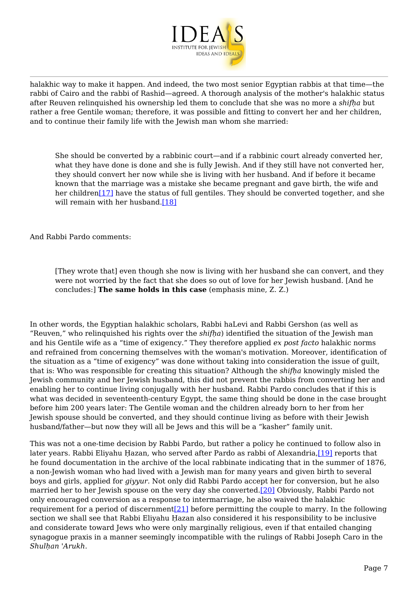

halakhic way to make it happen. And indeed, the two most senior Egyptian rabbis at that time—the rabbi of Cairo and the rabbi of Rashid—agreed. A thorough analysis of the mother's halakhic status after Reuven relinquished his ownership led them to conclude that she was no more a *shifḥa* but rather a free Gentile woman; therefore, it was possible and fitting to convert her and her children, and to continue their family life with the Jewish man whom she married:

She should be converted by a rabbinic court—and if a rabbinic court already converted her, what they have done is done and she is fully Jewish. And if they still have not converted her, they should convert her now while she is living with her husband. And if before it became known that the marriage was a mistake she became pregnant and gave birth, the wife and her children<sup>[\[17\]](#page-13-8)</sup> have the status of full gentiles. They should be converted together, and she will remain with her husband.<sup>[\[18\]](#page-13-9)</sup>

<span id="page-6-1"></span><span id="page-6-0"></span>And Rabbi Pardo comments:

[They wrote that] even though she now is living with her husband she can convert, and they were not worried by the fact that she does so out of love for her Jewish husband. [And he concludes:] **The same holds in this case** (emphasis mine, Z. Z.)

In other words, the Egyptian halakhic scholars, Rabbi haLevi and Rabbi Gershon (as well as "Reuven," who relinquished his rights over the *shifḥa*) identified the situation of the Jewish man and his Gentile wife as a "time of exigency." They therefore applied *ex post facto* halakhic norms and refrained from concerning themselves with the woman's motivation. Moreover, identification of the situation as a "time of exigency" was done without taking into consideration the issue of guilt, that is: Who was responsible for creating this situation? Although the *shifḥa* knowingly misled the Jewish community and her Jewish husband, this did not prevent the rabbis from converting her and enabling her to continue living conjugally with her husband. Rabbi Pardo concludes that if this is what was decided in seventeenth-century Egypt, the same thing should be done in the case brought before him 200 years later: The Gentile woman and the children already born to her from her Jewish spouse should be converted, and they should continue living as before with their Jewish husband/father—but now they will all be Jews and this will be a "kasher" family unit.

<span id="page-6-4"></span><span id="page-6-3"></span><span id="page-6-2"></span>This was not a one-time decision by Rabbi Pardo, but rather a policy he continued to follow also in later years. Rabbi Eliyahu Ḥazan, who served after Pardo as rabbi of Alexandria, [\[19\]](#page-13-10) reports that he found documentation in the archive of the local rabbinate indicating that in the summer of 1876, a non-Jewish woman who had lived with a Jewish man for many years and given birth to several boys and girls, applied for *giyyur*. Not only did Rabbi Pardo accept her for conversion, but he also married her to her Jewish spouse on the very day she converted.[\[20\]](#page-14-0) Obviously, Rabbi Pardo not only encouraged conversion as a response to intermarriage, he also waived the halakhic requirement for a period of discernment<sup>[\[21\]](#page-14-1)</sup> before permitting the couple to marry. In the following section we shall see that Rabbi Eliyahu Ḥazan also considered it his responsibility to be inclusive and considerate toward Jews who were only marginally religious, even if that entailed changing synagogue praxis in a manner seemingly incompatible with the rulings of Rabbi Joseph Caro in the *Shulḥan 'Arukh*.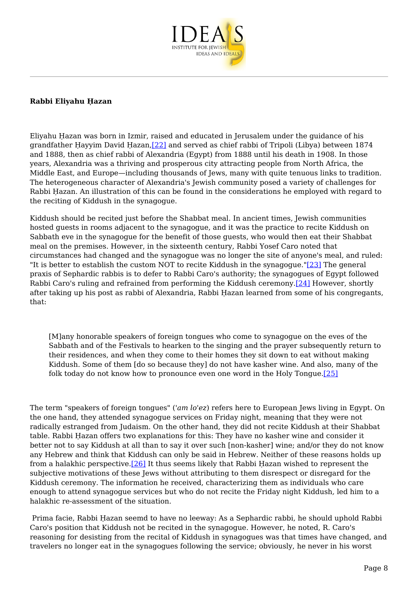

## **Rabbi Eliyahu Ḥazan**

<span id="page-7-0"></span>Eliyahu Ḥazan was born in Izmir, raised and educated in Jerusalem under the guidance of his grandfather Ḥayyim David Ḥazan[,\[22\]](#page-14-2) and served as chief rabbi of Tripoli (Libya) between 1874 and 1888, then as chief rabbi of Alexandria (Egypt) from 1888 until his death in 1908. In those years, Alexandria was a thriving and prosperous city attracting people from North Africa, the Middle East, and Europe—including thousands of Jews, many with quite tenuous links to tradition. The heterogeneous character of Alexandria's Jewish community posed a variety of challenges for Rabbi Ḥazan. An illustration of this can be found in the considerations he employed with regard to the reciting of Kiddush in the synagogue.

<span id="page-7-2"></span><span id="page-7-1"></span>Kiddush should be recited just before the Shabbat meal. In ancient times, Jewish communities hosted guests in rooms adjacent to the synagogue, and it was the practice to recite Kiddush on Sabbath eve in the synagogue for the benefit of those guests, who would then eat their Shabbat meal on the premises. However, in the sixteenth century, Rabbi Yosef Caro noted that circumstances had changed and the synagogue was no longer the site of anyone's meal, and ruled: "It is better to establish the custom NOT to recite Kiddush in the synagogue.["\[23\]](#page-14-3) The general praxis of Sephardic rabbis is to defer to Rabbi Caro's authority; the synagogues of Egypt followed Rabbi Caro's ruling and refrained from performing the Kiddush ceremony[.\[24\]](#page-14-4) However, shortly after taking up his post as rabbi of Alexandria, Rabbi Ḥazan learned from some of his congregants, that:

[M]any honorable speakers of foreign tongues who come to synagogue on the eves of the Sabbath and of the Festivals to hearken to the singing and the prayer subsequently return to their residences, and when they come to their homes they sit down to eat without making Kiddush. Some of them [do so because they] do not have kasher wine. And also, many of the folk today do not know how to pronounce even one word in the Holy Tongue.[\[25\]](#page-14-5)

<span id="page-7-3"></span>The term "speakers of foreign tongues" (*'am lo'ez*) refers here to European Jews living in Egypt. On the one hand, they attended synagogue services on Friday night, meaning that they were not radically estranged from Judaism. On the other hand, they did not recite Kiddush at their Shabbat table. Rabbi Ḥazan offers two explanations for this: They have no kasher wine and consider it better not to say Kiddush at all than to say it over such [non-kasher] wine; and/or they do not know any Hebrew and think that Kiddush can only be said in Hebrew. Neither of these reasons holds up from a halakhic perspective.[\[26\]](#page-14-6) It thus seems likely that Rabbi Ḥazan wished to represent the subjective motivations of these Jews without attributing to them disrespect or disregard for the Kiddush ceremony. The information he received, characterizing them as individuals who care enough to attend synagogue services but who do not recite the Friday night Kiddush*,* led him to a halakhic re-assessment of the situation.

<span id="page-7-4"></span> Prima facie, Rabbi Ḥazan seemd to have no leeway: As a Sephardic rabbi, he should uphold Rabbi Caro's position that Kiddush not be recited in the synagogue. However, he noted, R. Caro's reasoning for desisting from the recital of Kiddush in synagogues was that times have changed, and travelers no longer eat in the synagogues following the service; obviously, he never in his worst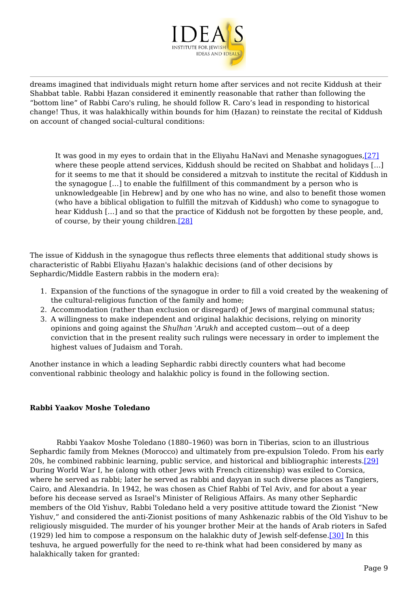

dreams imagined that individuals might return home after services and not recite Kiddush at their Shabbat table. Rabbi Ḥazan considered it eminently reasonable that rather than following the "bottom line" of Rabbi Caro's ruling, he should follow R. Caro's lead in responding to historical change! Thus, it was halakhically within bounds for him (Ḥazan) to reinstate the recital of Kiddush on account of changed social-cultural conditions:

<span id="page-8-0"></span>It was good in my eyes to ordain that in the Eliyahu HaNavi and Menashe synagogues[,\[27\]](#page-14-7) where these people attend services, Kiddush should be recited on Shabbat and holidays [...] for it seems to me that it should be considered a mitzvah to institute the recital of Kiddush in the synagogue […] to enable the fulfillment of this commandment by a person who is unknowledgeable [in Hebrew] and by one who has no wine, and also to benefit those women (who have a biblical obligation to fulfill the mitzvah of Kiddush) who come to synagogue to hear Kiddush […] and so that the practice of Kiddush not be forgotten by these people, and, of course, by their young children.[\[28\]](#page-14-8)

<span id="page-8-1"></span>The issue of Kiddush in the synagogue thus reflects three elements that additional study shows is characteristic of Rabbi Eliyahu Ḥazan's halakhic decisions (and of other decisions by Sephardic/Middle Eastern rabbis in the modern era):

- 1. Expansion of the functions of the synagogue in order to fill a void created by the weakening of the cultural-religious function of the family and home;
- 2. Accommodation (rather than exclusion or disregard) of Jews of marginal communal status;
- 3. A willingness to make independent and original halakhic decisions, relying on minority opinions and going against the *Shulhan 'Arukh* and accepted custom—out of a deep conviction that in the present reality such rulings were necessary in order to implement the highest values of Judaism and Torah.

Another instance in which a leading Sephardic rabbi directly counters what had become conventional rabbinic theology and halakhic policy is found in the following section.

### **Rabbi Yaakov Moshe Toledano**

<span id="page-8-3"></span><span id="page-8-2"></span> Rabbi Yaakov Moshe Toledano (1880–1960) was born in Tiberias, scion to an illustrious Sephardic family from Meknes (Morocco) and ultimately from pre-expulsion Toledo. From his early 20s, he combined rabbinic learning, public service, and historical and bibliographic interests.[\[29\]](#page-14-9) During World War I, he (along with other Jews with French citizenship) was exiled to Corsica, where he served as rabbi; later he served as rabbi and dayyan in such diverse places as Tangiers, Cairo, and Alexandria. In 1942, he was chosen as Chief Rabbi of Tel Aviv, and for about a year before his decease served as Israel's Minister of Religious Affairs. As many other Sephardic members of the Old Yishuv, Rabbi Toledano held a very positive attitude toward the Zionist "New Yishuv," and considered the anti-Zionist positions of many Ashkenazic rabbis of the Old Yishuv to be religiously misguided. The murder of his younger brother Meir at the hands of Arab rioters in Safed (1929) led him to compose a responsum on the halakhic duty of Jewish self-defense[.\[30\]](#page-14-10) In this teshuva, he argued powerfully for the need to re-think what had been considered by many as halakhically taken for granted: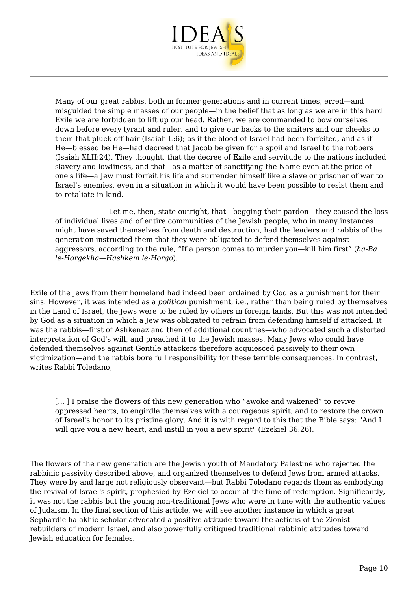

Many of our great rabbis, both in former generations and in current times, erred—and misguided the simple masses of our people—in the belief that as long as we are in this hard Exile we are forbidden to lift up our head. Rather, we are commanded to bow ourselves down before every tyrant and ruler, and to give our backs to the smiters and our cheeks to them that pluck off hair (Isaiah L:6); as if the blood of Israel had been forfeited, and as if He—blessed be He—had decreed that Jacob be given for a spoil and Israel to the robbers (Isaiah XLII:24). They thought, that the decree of Exile and servitude to the nations included slavery and lowliness, and that—as a matter of sanctifying the Name even at the price of one's life—a Jew must forfeit his life and surrender himself like a slave or prisoner of war to Israel's enemies, even in a situation in which it would have been possible to resist them and to retaliate in kind.

 Let me, then, state outright, that—begging their pardon—they caused the loss of individual lives and of entire communities of the Jewish people, who in many instances might have saved themselves from death and destruction, had the leaders and rabbis of the generation instructed them that they were obligated to defend themselves against aggressors, according to the rule, "If a person comes to murder you—kill him first" (*ha-Ba le-Horgekha—Hashkem le-Horgo*).

Exile of the Jews from their homeland had indeed been ordained by God as a punishment for their sins. However, it was intended as a *political* punishment, i.e., rather than being ruled by themselves in the Land of Israel, the Jews were to be ruled by others in foreign lands. But this was not intended by God as a situation in which a Jew was obligated to refrain from defending himself if attacked. It was the rabbis—first of Ashkenaz and then of additional countries—who advocated such a distorted interpretation of God's will, and preached it to the Jewish masses. Many Jews who could have defended themselves against Gentile attackers therefore acquiesced passively to their own victimization—and the rabbis bore full responsibility for these terrible consequences. In contrast, writes Rabbi Toledano,

[...] I praise the flowers of this new generation who "awoke and wakened" to revive oppressed hearts, to engirdle themselves with a courageous spirit, and to restore the crown of Israel's honor to its pristine glory. And it is with regard to this that the Bible says: "And I will give you a new heart, and instill in you a new spirit" (Ezekiel 36:26).

The flowers of the new generation are the Jewish youth of Mandatory Palestine who rejected the rabbinic passivity described above, and organized themselves to defend Jews from armed attacks. They were by and large not religiously observant—but Rabbi Toledano regards them as embodying the revival of Israel's spirit, prophesied by Ezekiel to occur at the time of redemption. Significantly, it was not the rabbis but the young non-traditional Jews who were in tune with the authentic values of Judaism. In the final section of this article, we will see another instance in which a great Sephardic halakhic scholar advocated a positive attitude toward the actions of the Zionist rebuilders of modern Israel, and also powerfully critiqued traditional rabbinic attitudes toward Jewish education for females.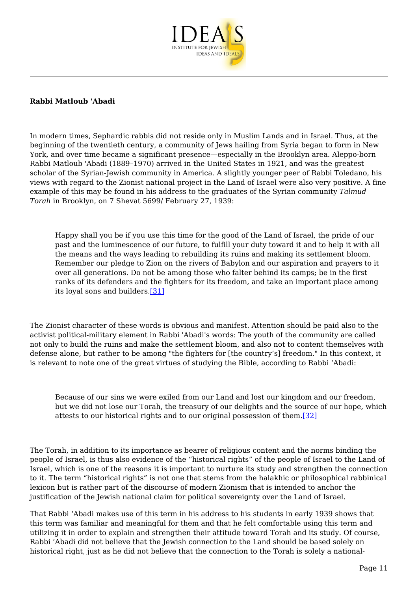

### **Rabbi Matloub 'Abadi**

In modern times, Sephardic rabbis did not reside only in Muslim Lands and in Israel. Thus, at the beginning of the twentieth century, a community of Jews hailing from Syria began to form in New York, and over time became a significant presence—especially in the Brooklyn area. Aleppo-born Rabbi Matloub 'Abadi (1889–1970) arrived in the United States in 1921, and was the greatest scholar of the Syrian-Jewish community in America. A slightly younger peer of Rabbi Toledano, his views with regard to the Zionist national project in the Land of Israel were also very positive. A fine example of this may be found in his address to the graduates of the Syrian community *Talmud Torah* in Brooklyn, on 7 Shevat 5699/ February 27, 1939:

Happy shall you be if you use this time for the good of the Land of Israel, the pride of our past and the luminescence of our future, to fulfill your duty toward it and to help it with all the means and the ways leading to rebuilding its ruins and making its settlement bloom. Remember our pledge to Zion on the rivers of Babylon and our aspiration and prayers to it over all generations. Do not be among those who falter behind its camps; be in the first ranks of its defenders and the fighters for its freedom, and take an important place among its loyal sons and builders.[\[31\]](#page-14-11)

<span id="page-10-0"></span>The Zionist character of these words is obvious and manifest. Attention should be paid also to the activist political-military element in Rabbi 'Abadi's words: The youth of the community are called not only to build the ruins and make the settlement bloom, and also not to content themselves with defense alone, but rather to be among "the fighters for [the country's] freedom." In this context, it is relevant to note one of the great virtues of studying the Bible, according to Rabbi 'Abadi:

Because of our sins we were exiled from our Land and lost our kingdom and our freedom, but we did not lose our Torah, the treasury of our delights and the source of our hope, which attests to our historical rights and to our original possession of them[.\[32\]](#page-14-12)

<span id="page-10-1"></span>The Torah, in addition to its importance as bearer of religious content and the norms binding the people of Israel, is thus also evidence of the "historical rights" of the people of Israel to the Land of Israel, which is one of the reasons it is important to nurture its study and strengthen the connection to it. The term "historical rights" is not one that stems from the halakhic or philosophical rabbinical lexicon but is rather part of the discourse of modern Zionism that is intended to anchor the justification of the Jewish national claim for political sovereignty over the Land of Israel.

That Rabbi 'Abadi makes use of this term in his address to his students in early 1939 shows that this term was familiar and meaningful for them and that he felt comfortable using this term and utilizing it in order to explain and strengthen their attitude toward Torah and its study. Of course, Rabbi 'Abadi did not believe that the Jewish connection to the Land should be based solely on historical right, just as he did not believe that the connection to the Torah is solely a national-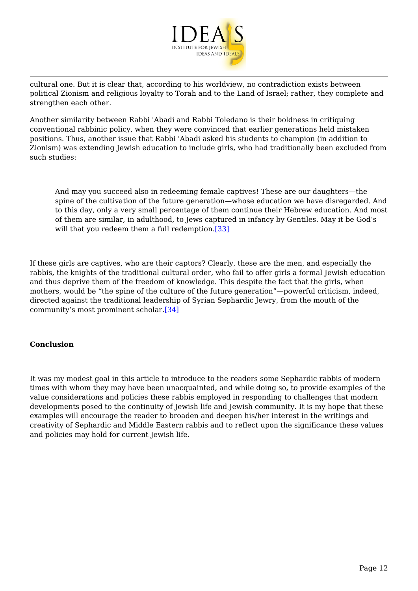

cultural one. But it is clear that, according to his worldview, no contradiction exists between political Zionism and religious loyalty to Torah and to the Land of Israel; rather, they complete and strengthen each other.

Another similarity between Rabbi 'Abadi and Rabbi Toledano is their boldness in critiquing conventional rabbinic policy, when they were convinced that earlier generations held mistaken positions. Thus, another issue that Rabbi 'Abadi asked his students to champion (in addition to Zionism) was extending Jewish education to include girls, who had traditionally been excluded from such studies:

And may you succeed also in redeeming female captives! These are our daughters—the spine of the cultivation of the future generation—whose education we have disregarded. And to this day, only a very small percentage of them continue their Hebrew education. And most of them are similar, in adulthood, to Jews captured in infancy by Gentiles. May it be God's will that you redeem them a full redemption.<sup>[33]</sup>

<span id="page-11-0"></span>If these girls are captives, who are their captors? Clearly, these are the men, and especially the rabbis, the knights of the traditional cultural order, who fail to offer girls a formal Jewish education and thus deprive them of the freedom of knowledge. This despite the fact that the girls, when mothers, would be "the spine of the culture of the future generation"—powerful criticism, indeed, directed against the traditional leadership of Syrian Sephardic Jewry, from the mouth of the community's most prominent scholar[.\[34\]](#page-15-1)

### <span id="page-11-1"></span>**Conclusion**

It was my modest goal in this article to introduce to the readers some Sephardic rabbis of modern times with whom they may have been unacquainted, and while doing so, to provide examples of the value considerations and policies these rabbis employed in responding to challenges that modern developments posed to the continuity of Jewish life and Jewish community. It is my hope that these examples will encourage the reader to broaden and deepen his/her interest in the writings and creativity of Sephardic and Middle Eastern rabbis and to reflect upon the significance these values and policies may hold for current Jewish life.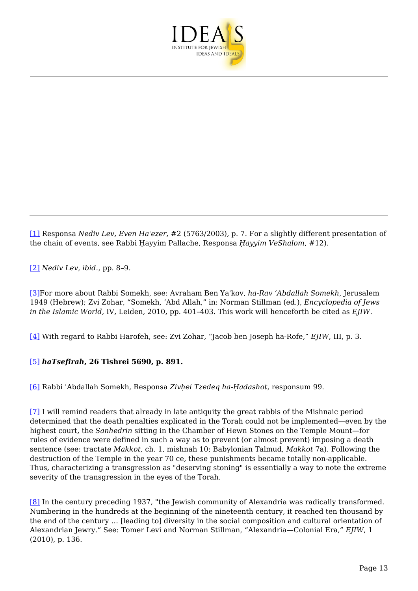

<span id="page-12-0"></span>[\[1\]](#page-0-0) Responsa *Nediv Lev*, *Even Ha'ezer*, #2 (5763/2003), p. 7. For a slightly different presentation of the chain of events, see Rabbi Ḥayyim Pallache, Responsa *Ḥayyim VeShalom*, #12).

<span id="page-12-1"></span>[\[2\]](#page-1-0) *Nediv Lev*, *ibid*., pp. 8–9.

<span id="page-12-2"></span>[\[3\]F](#page-1-1)or more about Rabbi Somekh, see: Avraham Ben Ya'kov, *ha-Rav* '*Abdallah Somekh,* Jerusalem 1949 (Hebrew); Zvi Zohar, "Somekh, 'Abd Allah," in: Norman Stillman (ed.), *Encyclopedia of Jews in the Islamic World*, IV, Leiden, 2010, pp. 401–403. This work will henceforth be cited as *EJIW.*

<span id="page-12-3"></span>[\[4\]](#page-1-2) With regard to Rabbi Harofeh, see: Zvi Zohar, "Jacob ben Joseph ha-Rofe," *EJIW*, III, p. 3.

### <span id="page-12-4"></span>[\[5\]](#page-2-0) *haTsefirah***, 26 Tishrei 5690, p. 891.**

<span id="page-12-5"></span>[\[6\]](#page-2-1) Rabbi 'Abdallah Somekh, Responsa *Zivḥei Tzedeq ha-Ḥadashot*, responsum 99.

<span id="page-12-6"></span>[\[7\]](#page-3-0) I will remind readers that already in late antiquity the great rabbis of the Mishnaic period determined that the death penalties explicated in the Torah could not be implemented—even by the highest court, the *Sanhedrin* sitting in the Chamber of Hewn Stones on the Temple Mount—for rules of evidence were defined in such a way as to prevent (or almost prevent) imposing a death sentence (see: tractate *Makkot,* ch. 1, mishnah 10; Babylonian Talmud, *Makkot* 7a). Following the destruction of the Temple in the year 70 ce, these punishments became totally non-applicable. Thus, characterizing a transgression as "deserving stoning" is essentially a way to note the extreme severity of the transgression in the eyes of the Torah.

<span id="page-12-7"></span>[\[8\]](#page-3-1) In the century preceding 1937, "the Jewish community of Alexandria was radically transformed. Numbering in the hundreds at the beginning of the nineteenth century, it reached ten thousand by the end of the century … [leading to] diversity in the social composition and cultural orientation of Alexandrian Jewry." See: Tomer Levi and Norman Stillman, "Alexandria—Colonial Era," *EJIW*, 1 (2010), p. 136.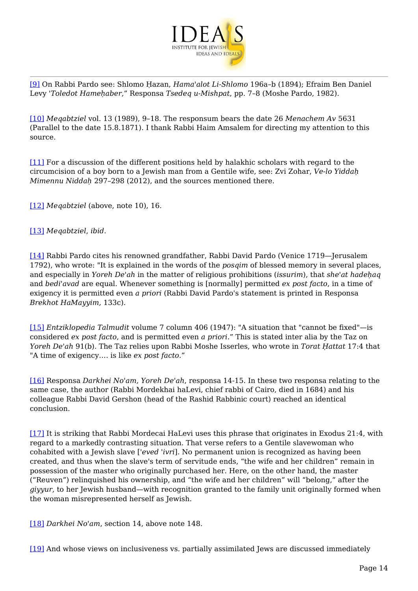

<span id="page-13-0"></span>[\[9\]](#page-3-1) On Rabbi Pardo see: Shlomo Ḥazan, *Hama'alot Li-Shlomo* 196a–b (1894); Efraim Ben Daniel Levy '*Toledot Hameḥaber*," Responsa *Tsedeq u-Mishpat*, pp. 7–8 (Moshe Pardo, 1982).

<span id="page-13-1"></span>[\[10\]](#page-3-2) *Meqabtziel* vol. 13 (1989), 9–18. The responsum bears the date 26 *Menachem Av* 5631 (Parallel to the date 15.8.1871). I thank Rabbi Haim Amsalem for directing my attention to this source.

<span id="page-13-2"></span>[\[11\]](#page-3-3) For a discussion of the different positions held by halakhic scholars with regard to the circumcision of a boy born to a Jewish man from a Gentile wife, see: Zvi Zohar, *Ve-lo Yiddaḥ Mimennu Niddaḥ* 297–298 (2012), and the sources mentioned there.

<span id="page-13-3"></span>[\[12\]](#page-4-0) *Meqabtziel* (above, note 10), 16.

# <span id="page-13-4"></span>[\[13\]](#page-4-1) *Meqabtziel*, *ibid*.

<span id="page-13-5"></span>[\[14\]](#page-5-0) Rabbi Pardo cites his renowned grandfather, Rabbi David Pardo (Venice 1719—Jerusalem 1792), who wrote: "It is explained in the words of the *posqim* of blessed memory in several places, and especially in *Yoreh De'ah* in the matter of religious prohibitions (*issurim*), that *she'at hadeḥaq* and *bedi'avad* are equal. Whenever something is [normally] permitted *ex post facto*, in a time of exigency it is permitted even *a priori* (Rabbi David Pardo's statement is printed in Responsa *Brekhot HaMayyim,* 133c).

<span id="page-13-6"></span>[\[15\]](#page-5-1) *Entziklopedia Talmudit* volume 7 column 406 (1947): "A situation that "cannot be fixed"—is considered *ex post facto*, and is permitted even *a priori*." This is stated inter alia by the Taz on *Yoreh De'ah* 91(b). The Taz relies upon Rabbi Moshe Isserles, who wrote in *Torat Ḥattat* 17:4 that "A time of exigency…. is like *ex post facto*."

<span id="page-13-7"></span>[\[16\]](#page-5-2) Responsa *Darkhei No'am, Yoreh De'ah*, responsa 14-15. In these two responsa relating to the same case, the author (Rabbi Mordekhai haLevi, chief rabbi of Cairo, died in 1684) and his colleague Rabbi David Gershon (head of the Rashid Rabbinic court) reached an identical conclusion.

<span id="page-13-8"></span>[\[17\]](#page-6-0) It is striking that Rabbi Mordecai HaLevi uses this phrase that originates in Exodus 21:4, with regard to a markedly contrasting situation. That verse refers to a Gentile slavewoman who cohabited with a Jewish slave [*'eved 'ivri*]. No permanent union is recognized as having been created, and thus when the slave's term of servitude ends, "the wife and her children" remain in possession of the master who originally purchased her. Here, on the other hand, the master ("Reuven") relinquished his ownership, and "the wife and her children" will "belong," after the *giyyur*, to her Jewish husband—with recognition granted to the family unit originally formed when the woman misrepresented herself as Jewish.

<span id="page-13-9"></span>[\[18\]](#page-6-1) *Darkhei No'am*, section 14, above note 148.

<span id="page-13-10"></span>[\[19\]](#page-6-2) And whose views on inclusiveness vs. partially assimilated Jews are discussed immediately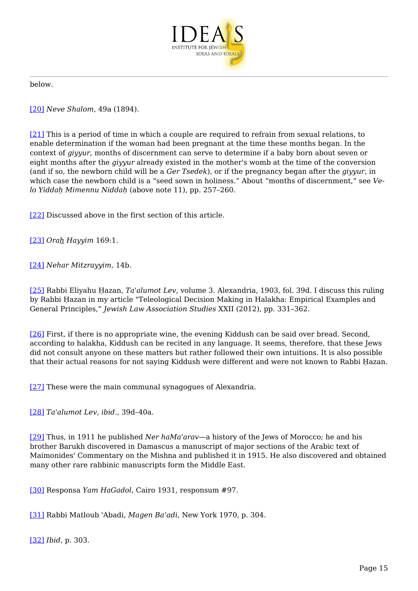

below.

<span id="page-14-0"></span>[\[20\]](#page-6-3) *Neve Shalom*, 49a (1894).

<span id="page-14-1"></span>[\[21\]](#page-6-4) This is a period of time in which a couple are required to refrain from sexual relations, to enable determination if the woman had been pregnant at the time these months began. In the context of *giyyur*, months of discernment can serve to determine if a baby born about seven or eight months after the *giyyur* already existed in the mother's womb at the time of the conversion (and if so, the newborn child will be a *Ger Tsedek*), or if the pregnancy began after the *giyyur*, in which case the newborn child is a "seed sown in holiness." About "months of discernment," see *Velo Yiddaḥ Mimennu Niddaḥ* (above note 11), pp. 257–260.

<span id="page-14-2"></span>[\[22\]](#page-7-0) Discussed above in the first section of this article.

<span id="page-14-3"></span>[\[23\]](#page-7-1) *Orah Hayyim* 169:1*.*

<span id="page-14-4"></span>[\[24\]](#page-7-2) *Nehar Mitzrayyim,* 14b.

<span id="page-14-5"></span>[\[25\]](#page-7-3) Rabbi Eliyahu Ḥazan, *Ta'alumot Lev*, volume 3. Alexandria, 1903, fol. 39d. I discuss this ruling by Rabbi Ḥazan in my article "Teleological Decision Making in Halakha: Empirical Examples and General Principles," *Jewish Law Association Studies* XXII (2012), pp. 331–362.

<span id="page-14-6"></span>[\[26\]](#page-7-4) First, if there is no appropriate wine, the evening Kiddush can be said over bread. Second, according to halakha, Kiddush can be recited in any language. It seems, therefore, that these Jews did not consult anyone on these matters but rather followed their own intuitions. It is also possible that their actual reasons for not saying Kiddush were different and were not known to Rabbi Ḥazan.

<span id="page-14-7"></span>[\[27\]](#page-8-0) These were the main communal synagogues of Alexandria.

<span id="page-14-8"></span>[\[28\]](#page-8-1) *Ta'alumot Lev*, *ibid*., 39d–40a.

<span id="page-14-9"></span>[\[29\]](#page-8-2) Thus, in 1911 he published *Ner haMa'arav—*a history of the Jews of Morocco; he and his brother Barukh discovered in Damascus a manuscript of major sections of the Arabic text of Maimonides' Commentary on the Mishna and published it in 1915. He also discovered and obtained many other rare rabbinic manuscripts form the Middle East.

<span id="page-14-10"></span>[\[30\]](#page-8-3) Responsa *Yam HaGadol*, Cairo 1931, responsum #97.

<span id="page-14-11"></span>[\[31\]](#page-10-0) Rabbi Matloub 'Abadi, *Magen Ba'adi*, New York 1970, p. 304.

<span id="page-14-12"></span>[\[32\]](#page-10-1) *Ibid*, p. 303.